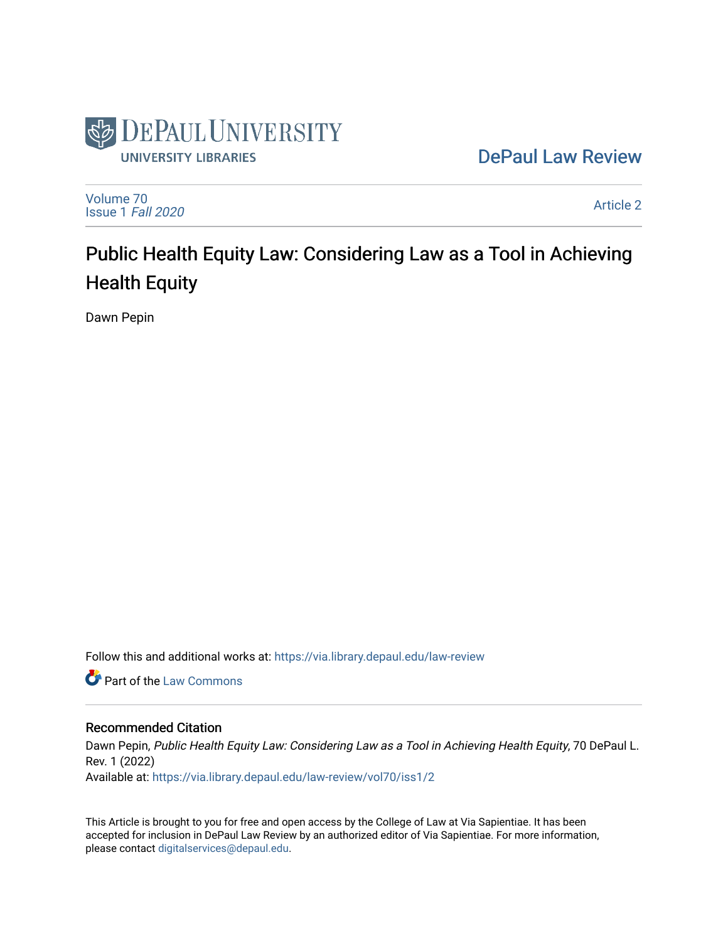

[DePaul Law Review](https://via.library.depaul.edu/law-review) 

[Volume 70](https://via.library.depaul.edu/law-review/vol70) [Issue 1](https://via.library.depaul.edu/law-review/vol70/iss1) Fall 2020

[Article 2](https://via.library.depaul.edu/law-review/vol70/iss1/2) 

# Public Health Equity Law: Considering Law as a Tool in Achieving Health Equity

Dawn Pepin

Follow this and additional works at: [https://via.library.depaul.edu/law-review](https://via.library.depaul.edu/law-review?utm_source=via.library.depaul.edu%2Flaw-review%2Fvol70%2Fiss1%2F2&utm_medium=PDF&utm_campaign=PDFCoverPages) 

**C** Part of the [Law Commons](http://network.bepress.com/hgg/discipline/578?utm_source=via.library.depaul.edu%2Flaw-review%2Fvol70%2Fiss1%2F2&utm_medium=PDF&utm_campaign=PDFCoverPages)

# Recommended Citation

Dawn Pepin, Public Health Equity Law: Considering Law as a Tool in Achieving Health Equity, 70 DePaul L. Rev. 1 (2022) Available at: [https://via.library.depaul.edu/law-review/vol70/iss1/2](https://via.library.depaul.edu/law-review/vol70/iss1/2?utm_source=via.library.depaul.edu%2Flaw-review%2Fvol70%2Fiss1%2F2&utm_medium=PDF&utm_campaign=PDFCoverPages) 

This Article is brought to you for free and open access by the College of Law at Via Sapientiae. It has been accepted for inclusion in DePaul Law Review by an authorized editor of Via Sapientiae. For more information, please contact [digitalservices@depaul.edu.](mailto:digitalservices@depaul.edu)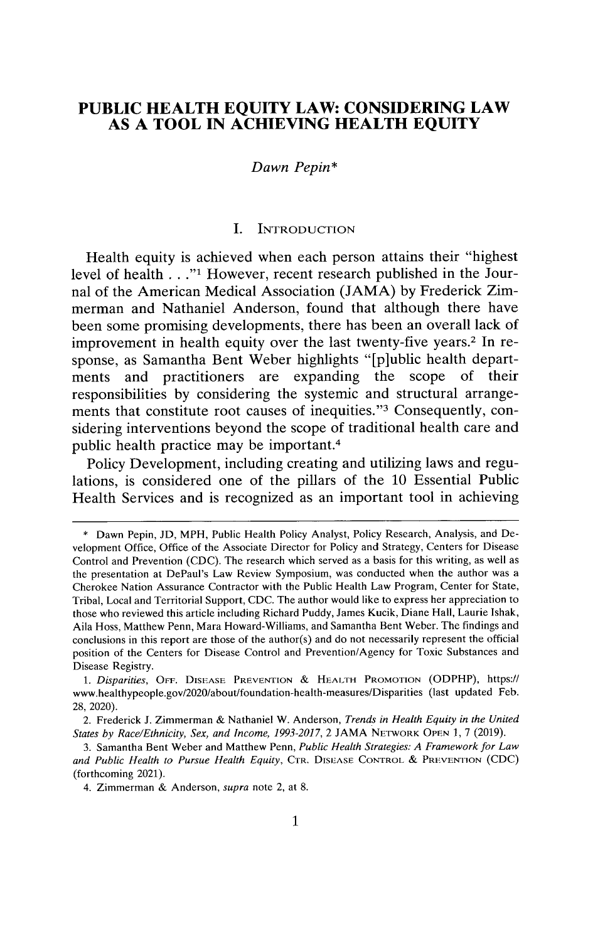# **PUBLIC HEALTH EQUITY LAW: CONSIDERING LAW AS A TOOL IN ACHIEVING HEALTH EQUITY**

#### *Dawn Pepin\**

#### **I.** INTRODUCTION

Health equity is achieved when each person attains their "highest level of health **... "1** However, recent research published in the Journal of the American Medical Association (JAMA) by Frederick Zimmerman and Nathaniel Anderson, found that although there have been some promising developments, there has been an overall lack of improvement in health equity over the last twenty-five years.2 In response, as Samantha Bent Weber highlights "[p]ublic health departments and practitioners are expanding the scope of their responsibilities by considering the systemic and structural arrangements that constitute root causes of inequities."<sup>3</sup> Consequently, considering interventions beyond the scope of traditional health care and public health practice may be important.<sup>4</sup>

Policy Development, including creating and utilizing laws and regulations, is considered one of the pillars of the 10 Essential Public Health Services and is recognized as an important tool in achieving

<sup>\*</sup> Dawn Pepin, JD, MPH, Public Health Policy Analyst, Policy Research, Analysis, and Development Office, Office of the Associate Director for Policy and Strategy, Centers for Disease Control and Prevention (CDC). The research which served as a basis for this writing, as well as the presentation at DePaul's Law Review Symposium, was conducted when the author was a Cherokee Nation Assurance Contractor with the Public Health Law Program, Center for State, Tribal, Local and Territorial Support, CDC. The author would like to express her appreciation to those who reviewed this article including Richard Puddy, James Kucik, Diane Hall, Laurie Ishak, Aila Hoss, Matthew Penn, Mara Howard-Williams, and Samantha Bent Weber. The findings and conclusions in this report are those of the author(s) and do not necessarily represent the official position of the Centers for Disease Control and Prevention/Agency for Toxic Substances and Disease Registry.

*<sup>1.</sup> Disparities,* **OFF. DISEASE PREVENTION** & **HEALTH PROMOTION** (ODPHP), https:// www.healthypeople.gov/2020/about/foundation-health-measures/Disparities (last updated Feb. 28, 2020).

<sup>2.</sup> Frederick J. Zimmerman & Nathaniel W. Anderson, *Trends in Health Equity in the United States by Race/Ethnicity, Sex, and Income, 1993-2017, 2* JAMA **NETwORK OPEN** 1, 7 (2019).

<sup>3.</sup> Samantha Bent Weber and Matthew Penn, *Public Health Strategies: A Framework for Law and Public Health to Pursue Health Equity,* **CTR. DISEASE CONTROL** & **PREVENTION** (CDC) (forthcoming 2021).

<sup>4.</sup> Zimmerman & Anderson, *supra* note 2, at 8.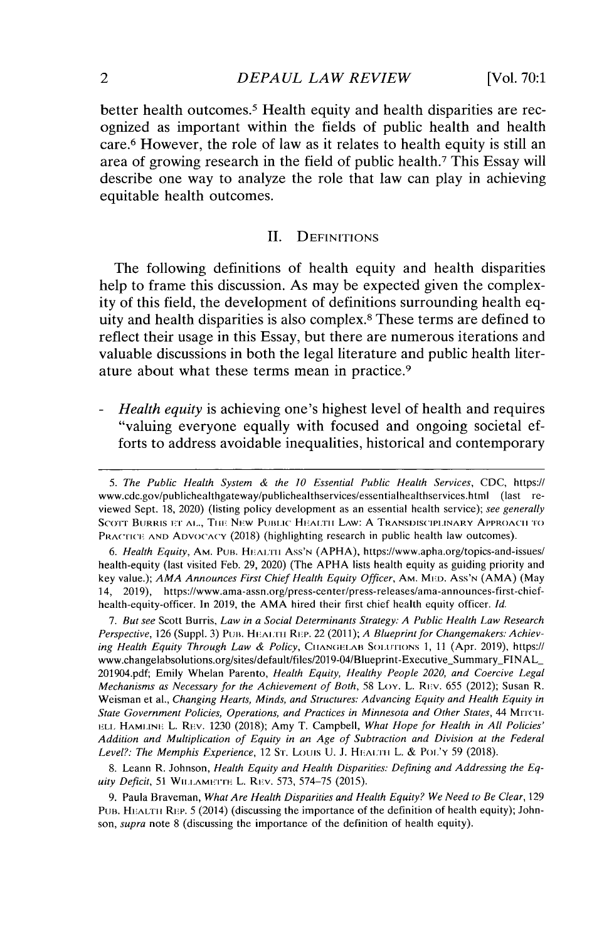better health outcomes.<sup>5</sup> Health equity and health disparities are recognized as important within the fields of public health and health care.<sup>6</sup> However, the role of law as it relates to health equity is still an area of growing research in the field of public health.<sup>7</sup>This Essay will describe one way to analyze the role that law can play in achieving equitable health outcomes.

#### II. DEFINITIONS

The following definitions of health equity and health disparities help to frame this discussion. As may be expected given the complexity of this field, the development of definitions surrounding health equity and health disparities is also complex.<sup>8</sup>These terms are defined to reflect their usage in this Essay, but there are numerous iterations and valuable discussions in both the legal literature and public health literature about what these terms mean in practice. <sup>9</sup>

- *Health equity* is achieving one's highest level of health and requires "valuing everyone equally with focused and ongoing societal efforts to address avoidable inequalities, historical and contemporary

6. Health Equity, Aм. PUB. HEALTH Ass'N (APHA), https://www.apha.org/topics-and-issues/ health-equity (last visited Feb. 29, 2020) (The APHA lists health equity as guiding priority and key value.); *AMA Announces First Chief Health Equity Officer,* AM. **MED.** Ass'N (AMA) (May 14, 2019), https://www.ama-assn.org/press-center/press-releases/ama-announces-first-chiefhealth-equity-officer. In 2019, the AMA hired their first chief health equity officer. *Id.*

*7. But see* Scott Burris, *Law in a Social Determinants Strategy: A Public Health Law Research Perspective, 126 (Suppl. 3) PUB. HEALTH REP. 22 (2011); <i>A Blueprint for Changemakers: Achieving Health Equity Through Law & Policy,* **CIIANGELAB SOLUTIONS** 1, 11 (Apr. 2019), https:// www.changelabsolutions.org/sites/default/files/2019-04/Blueprint-Executive\_Summary\_FINAL\_ 201904.pdf; Emily whelan Parento, *Health Equity, Healthy People 2020, and Coercive Legal Mechanisms as Necessary for the Achievement of Both, 58 Loy. L. REV. 655 (2012); Susan R.* Weisman et al., *Changing Hearts, Minds, and Structures: Advancing Equity and Health Equity in State Government Policies, Operations, and Practices in Minnesota and Other States, 44* Mrrcii-**ELL HAMIINE** L. REv. 1230 (2018); Amy T. Campbell, *What Hope for Health in All Policies' Addition and Multiplication of Equity in an Age of Subtraction and Division at the Federal Level?: The Memphis Experience,* 12 Sr. Louis U. J. HEA:TH L. & PO'Y 59 (2018).

8. Leann R. Johnson, *Health Equity and Health Disparities: Defining and Addressing the Equity Deficit,* 51 WILLAMETTE L. REV. 573, 574-75 (2015).

9. Paula Braveman, *What Are Health Disparities and Health Equity? We Need to Be Clear,* 129 PUB. HEALTH REP. 5 (2014) (discussing the importance of the definition of health equity); Johnson, *supra* note 8 (discussing the importance of the definition of health equity).

*<sup>5.</sup> The Public Health System & the 10 Essential Public Health Services,* CDC, https:// www.cdc.gov/publichealthgateway/publichealthservices/essentialhealthservices.html (last reviewed Sept. 18, 2020) (listing policy development as an essential health service); *see generally* SCOTT BURRIS ET AL., THE NEW PUBLIC HEALTH LAW: A TRANSDISCIPLINARY APPROACH TO PRACrICE **AND ADVOCACY** (2018) (highlighting research **in** public health law outcomes).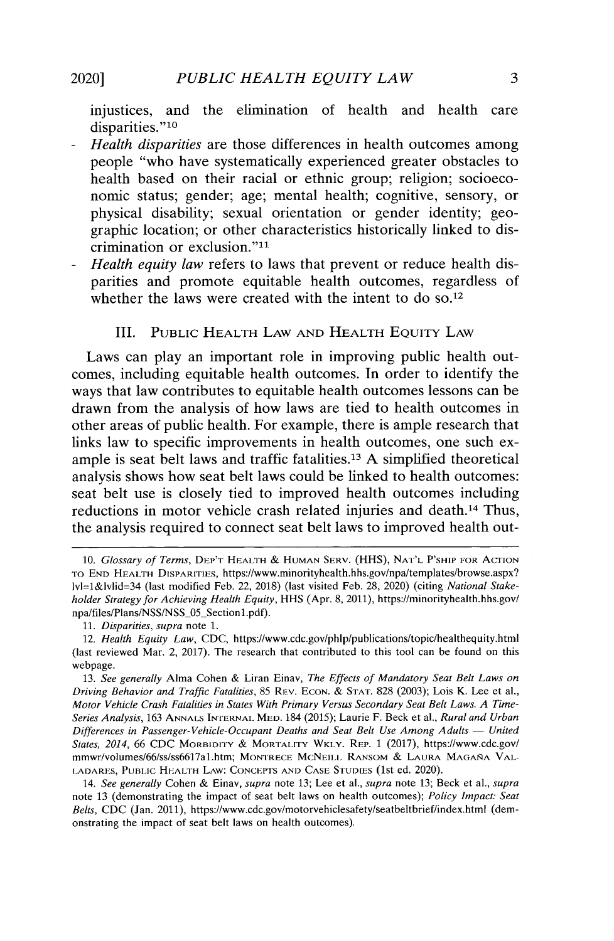**injustices, and the elimination of health and health care** disparities."<sup>10</sup>

- **-** *Health disparities* **are those differences in health outcomes among people "who have systematically experienced greater obstacles to health based on their racial or ethnic group; religion; socioeconomic status; gender; age; mental health; cognitive, sensory, or physical disability; sexual orientation or gender identity; geographic location; or other characteristics historically linked to dis**crimination or exclusion."<sup>11</sup>
- **-** *Health equity law* **refers to laws that prevent or reduce health disparities and promote equitable health outcomes, regardless of** whether the laws were created with the intent to do so.<sup>12</sup>

### III. PUBLIC HEALTH LAW AND HEALTH EQuIrY LAW

**Laws can play an important role in improving public health outcomes, including equitable health outcomes. In order to identify the ways that law contributes to equitable health outcomes lessons can be drawn from the analysis of how laws are tied to health outcomes in other areas of public health. For example, there is ample research that links law to specific improvements in health outcomes, one such example is seat belt laws and traffic fatalities.<sup>13</sup>A simplified theoretical analysis shows how seat belt laws could be linked to health outcomes: seat belt use is closely tied to improved health outcomes including reductions in motor vehicle crash related injuries and death.'<sup>4</sup>Thus, the analysis required to connect seat belt laws to improved health out-**

**<sup>10.</sup>** *Glossary of Terms,* **DEP'T HEALTH & HUMAN SERV. (HHS), NAT'L P'SHIP FOR ACTION TO END HEALTH DISPARITIES, https://www.minorityhealth.hhs.gov/npa/templates/browse.aspx? lvl=1&lvlid=34 (last modified Feb. 22, 2018) (last visited Feb. 28, 2020) (citing** *National Stakeholder Strategy for Achieving Health Equity,* **HHS (Apr. 8, 2011), https://minorityhealth.hhs.gov/ npa/files/Plans/NSS/NSS\_05\_Sectionl.pdf).**

**<sup>11.</sup>** *Disparities, supra* **note 1.**

*<sup>12.</sup> Health Equity Law,* CDC, **https://www.cdc.gov/phlp/publications/topic/healthequity.html (last reviewed Mar. 2,** 2017). **The research that contributed to this tool can be found on this webpage.**

**<sup>13.</sup>** *See generally* **Alma Cohen** & **Liran Einav,** *The Effects of Mandatory Seat Belt Laws on Driving Behavior and Traffic Fatalities,* **85 REV. ECON.** & **STAT. 828 (2003); Lois K. Lee et al.,** *Motor Vehicle Crash Fatalities in States With Primary Versus Secondary Seat Belt Laws. A Time-Series Analysis,* **163 ANNALS INTERNAL MED. 184** *(2015);* **Laurie F. Beck et al.,** *Rural and Urban Differences in Passenger-Vehicle-Occupant Deaths and Seat Belt Use Among Adults - United States, 2014, 66* **CDC MORBIDITY** & **MORTALITY WKLY.** *REP.* **1 (2017), https://www.cdc.gov/ mmwr/volumes/66/ss/ss6617a1..htm; MONTRECE MCNEILL RANSOM & LAURA MAGANA VAL-LADARES, PUBLIC HEALTH LAW: CONCEPTS AND CASE STUDIES (1St ed. 2020).**

*<sup>14.</sup> See generally* **Cohen & Einav,** *supra* **note 13; Lee et al.,** *supra* **note 13; Beck et al.,** *supra* **note 13 (demonstrating the impact of seat belt laws on health outcomes);** *Policy Impact: Seat Belts,* CDC (Jan. 2011), **https://www.cdc.gov/motorvehiclesafety/seatbeltbrief/index.html (demonstrating the impact of seat belt laws on health outcomes).**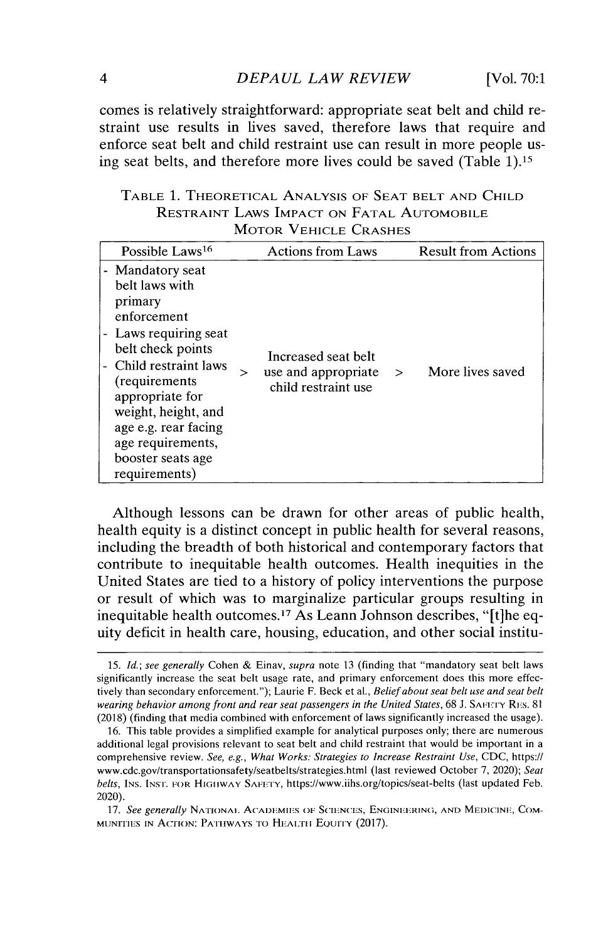comes is relatively straightforward: appropriate seat belt and child restraint use results in lives saved, therefore laws that require and enforce seat belt and child restraint use can result in more people using seat belts, and therefore more lives could be saved (Table 1).15

TABLE 1. THEORETICAL ANALYSIS OF SEAT BELT AND CHILD RESTRAINT LAWS IMPACT ON FATAL AUTOMOBILE MOTOR VEHICLE CRASHES

| Possible Laws <sup>16</sup>                                                                                                                                                                                                                                                       |   | <b>Actions from Laws</b>                                          |        | <b>Result from Actions</b> |
|-----------------------------------------------------------------------------------------------------------------------------------------------------------------------------------------------------------------------------------------------------------------------------------|---|-------------------------------------------------------------------|--------|----------------------------|
| - Mandatory seat<br>belt laws with<br>primary<br>enforcement<br>- Laws requiring seat<br>belt check points<br>Child restraint laws<br>(requirements)<br>appropriate for<br>weight, height, and<br>age e.g. rear facing<br>age requirements,<br>booster seats age<br>requirements) | > | Increased seat belt<br>use and appropriate<br>child restraint use | $\geq$ | More lives saved           |

Although lessons can be drawn for other areas of public health, health equity is a distinct concept in public health for several reasons, including the breadth of both historical and contemporary factors that contribute to inequitable health outcomes. Health inequities in the United States are tied to a history of policy interventions the purpose or result of which was to marginalize particular groups resulting in inequitable health outcomes." As Leann Johnson describes, "[t]he equity deficit in health care, housing, education, and other social institu-

*17. See generally* **NATIONAL ACADEMIES OF SCIENCES, ENGINEERING, AND MEDICINE, COM-MUNITIES IN ACTION: PATHWAYS TO HEALTH EQUITY (2017).** 

<sup>15.</sup> *Id.; see generally* Cohen & Einav, *supra* note 13 (finding that "mandatory **seat** belt laws significantly increase the seat belt usage rate, and primary enforcement does this more effectively than secondary enforcement."); Laurie F. Beck **et** al., *Belief about seat belt use and seat belt wearing behavior among front and rear seat passengers in the United States,* 68 J. **SAF 1-Y** RF:s. 81 (2018) (finding that media combined with enforcement of laws significantly increased the usage).

<sup>16.</sup> This table provides a simplified example for analytical purposes only; there are numerous additional legal provisions relevant to seat belt and child restraint that would be important in a comprehensive review. *See, e.g., What Works: Strategies to Increase Restraint Use,* CDC, https:// www.cdc.gov/transportationsafety/seatbelts/strategies.html (last reviewed October 7, 2020); *Seat belts,* INS. **INST. FOR HIGHWAY SAFETY,** https://www.iihs.org/topics/seat-belts (last updated Feb. 2020).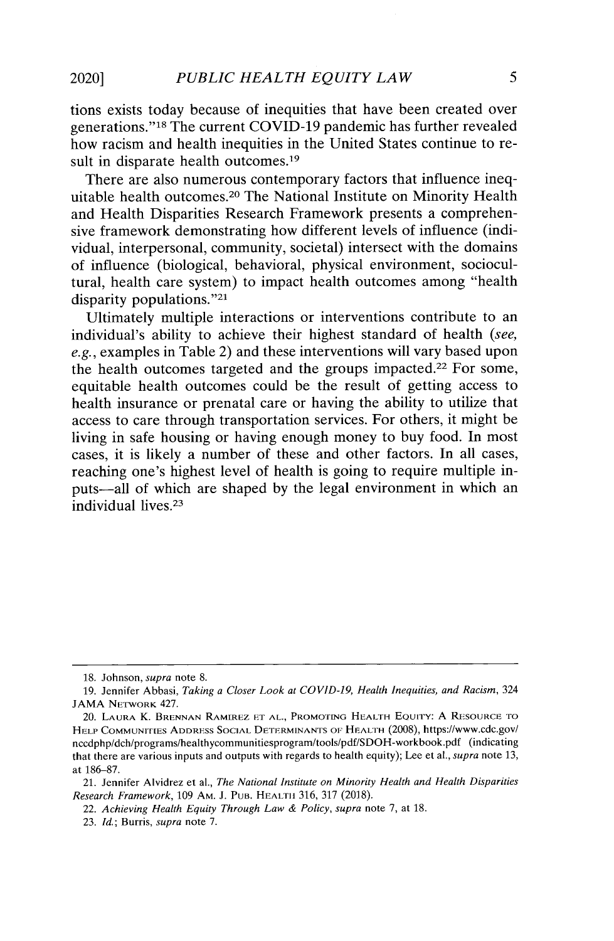**tions exists today because of inequities that have been created over** generations."<sup>18</sup> The current COVID-19 pandemic has further revealed **how racism and health inequities in the United States continue to re**sult in disparate health outcomes.<sup>19</sup>

**There are also numerous contemporary factors that influence inequitable health outcomes. <sup>20</sup>**The **National Institute on Minority Health and Health Disparities Research Framework presents a comprehensive framework demonstrating how different levels of influence (individual, interpersonal, community, societal) intersect with the domains of influence (biological, behavioral, physical environment, sociocultural, health care system) to impact health outcomes among "health** disparity populations."<sup>21</sup>

**Ultimately multiple interactions or interventions contribute to an individual's ability to achieve their highest standard of health (see, e.g., examples in Table 2) and these interventions will vary based upon the health outcomes targeted and the groups impacted.<sup>22</sup>For some, equitable health outcomes could be the result of getting access to health insurance or prenatal care or having the ability to utilize that access to care through transportation services. For others, it might be living in safe housing or having enough money to buy food. In most cases, it is likely a number of these and other factors. In all cases, reaching one's highest level of health is going to require multiple inputs-all of which are shaped by the legal environment in which an individual lives. <sup>23</sup>**

*22. Achieving Health Equity Through Law & Policy, supra* **note 7, at 18.**

**<sup>18.</sup> Johnson, supra note 8.**

**<sup>19.</sup> Jennifer Abbasi,** *Taking a Closer Look at COVID-19, Health Inequities, and Racism,* **324** JAMA **NETWORK** 427.

**<sup>20.</sup> LAURA K. BRENNAN RAMIREZ ET AL., PROMOTING HEALTH EQUITY: A RESOURCE TO** H **ELP COMMUNITIES ADDRESS SOCIAL DETERMINANTS OF HEALTH (2008), https://www.cdc.gov/ nccdphp/dch/programs/healthycommunitiesprogram/tools/pdf/SDOH-workbook.pdf (indicating that there are various inputs and outputs with regards to health equity); Lee et al.,** *supra* **note 13, at 186-87.**

**<sup>21.</sup> Jennifer Alvidrez et al.,** *The National Institute on Minority Health and Health Disparities Research Framework,* **109 AM. J. PUB. HEALTH 316, 317 (2018).**

*<sup>23.</sup> Id.;* **Burris,** *supra* **note 7.**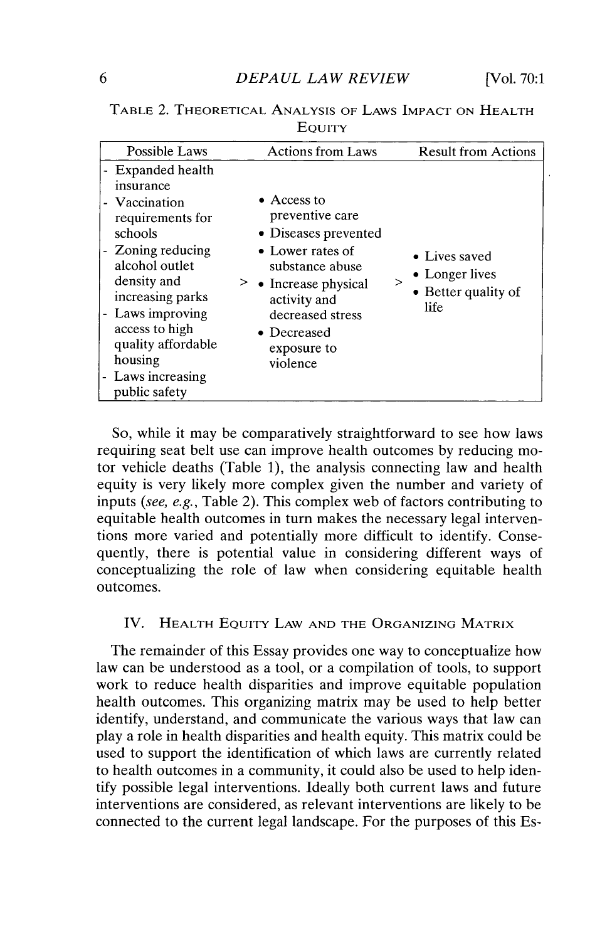| Possible Laws                                                                                                                                                                                                                                                         | <b>Actions from Laws</b>                                                                                                                                                                                     | <b>Result from Actions</b>                                     |
|-----------------------------------------------------------------------------------------------------------------------------------------------------------------------------------------------------------------------------------------------------------------------|--------------------------------------------------------------------------------------------------------------------------------------------------------------------------------------------------------------|----------------------------------------------------------------|
| - Expanded health<br>insurance<br>- Vaccination<br>requirements for<br>schools<br>- Zoning reducing<br>alcohol outlet<br>density and<br>increasing parks<br>- Laws improving<br>access to high<br>quality affordable<br>housing<br>- Laws increasing<br>public safety | $\bullet$ Access to<br>preventive care<br>• Diseases prevented<br>• Lower rates of<br>substance abuse<br>> • Increase physical<br>activity and<br>decreased stress<br>• Decreased<br>exposure to<br>violence | • Lives saved<br>• Longer lives<br>• Better quality of<br>life |

**TABLE** 2. **THEORETICAL ANALYSIS OF LAWS IMPACT ON HEALTH EQUITY**

So, while it may be comparatively straightforward to see how laws requiring seat belt use can improve health outcomes by reducing mo tor vehicle deaths (Table 1), the analysis connecting law and health equity is very likely more complex given the number and variety of inputs (see, e.g., Table 2). This complex web of factors contributing to equitable health outcomes in turn makes the necessary legal interventions more varied and potentially more difficult to identify. Consequently, there is potential value in considering different ways of conceptualizing the role of law when considering equitable health outcomes.

## IV. **HEALTH EQUITY LAW AND THE ORGANIZING MATRIX**

The remainder of this Essay provides one way to conceptualize how law can be understood as a tool, or a compilation of tools, to support work to reduce health disparities and improve equitable population health outcomes. This organizing matrix may be used to help better identify, understand, and communicate the various ways that law can play a role in health disparities and health equity. This matrix could be used to support the identification of which laws are currently related to health outcomes in a community, it could also be used to help identify possible legal interventions. Ideally both current laws and future interventions are considered, as relevant interventions are likely to be connected to the current legal landscape. For the purposes of this Es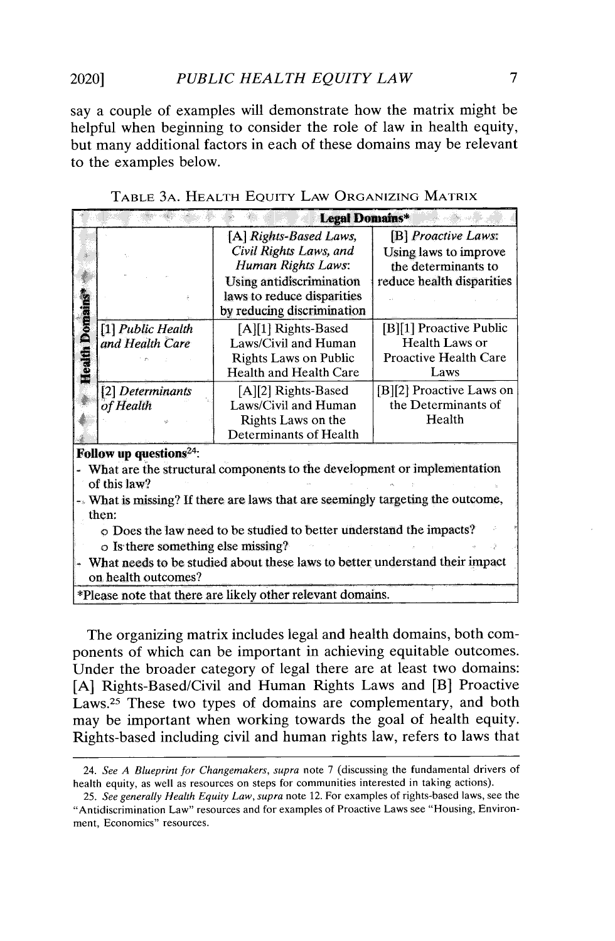say a couple of examples will demonstrate how the matrix might be helpful when beginning to consider the role of law in health equity, but many additional factors in each of these domains may be relevant to the examples below.

|                                                                                 | Legal Domains*      |                                                                           |                              |  |  |  |
|---------------------------------------------------------------------------------|---------------------|---------------------------------------------------------------------------|------------------------------|--|--|--|
|                                                                                 |                     | [A] Rights-Based Laws,                                                    | [B] Proactive Laws:          |  |  |  |
|                                                                                 |                     | Civil Rights Laws, and                                                    | Using laws to improve        |  |  |  |
|                                                                                 |                     | Human Rights Laws:                                                        | the determinants to          |  |  |  |
|                                                                                 |                     | <b>Using antidiscrimination</b>                                           | reduce health disparities    |  |  |  |
|                                                                                 |                     | laws to reduce disparities                                                |                              |  |  |  |
|                                                                                 |                     | by reducing discrimination                                                |                              |  |  |  |
| Health Domains <sup>1</sup>                                                     | [1] Public Health   | [A][1] Rights-Based                                                       | [B][1] Proactive Public      |  |  |  |
|                                                                                 | and Health Care     | Laws/Civil and Human                                                      | Health Laws or               |  |  |  |
|                                                                                 |                     | <b>Rights Laws on Public</b>                                              | <b>Proactive Health Care</b> |  |  |  |
|                                                                                 |                     | <b>Health and Health Care</b>                                             | Laws                         |  |  |  |
|                                                                                 | [2] Determinants    | [A][2] Rights-Based                                                       | [B][2] Proactive Laws on     |  |  |  |
|                                                                                 | of Health           | Laws/Civil and Human                                                      | the Determinants of          |  |  |  |
|                                                                                 |                     | Rights Laws on the                                                        | Health                       |  |  |  |
|                                                                                 |                     | Determinants of Health                                                    |                              |  |  |  |
| Follow up questions <sup>24</sup> :                                             |                     |                                                                           |                              |  |  |  |
|                                                                                 |                     | - What are the structural components to the development or implementation |                              |  |  |  |
|                                                                                 | of this law?        |                                                                           |                              |  |  |  |
| -. What is missing? If there are laws that are seemingly targeting the outcome, |                     |                                                                           |                              |  |  |  |
| then:                                                                           |                     |                                                                           |                              |  |  |  |
| o Does the law need to be studied to better understand the impacts?             |                     |                                                                           |                              |  |  |  |
| o Is there something else missing?                                              |                     |                                                                           |                              |  |  |  |
| What needs to be studied about these laws to better understand their impact     |                     |                                                                           |                              |  |  |  |
|                                                                                 | on health outcomes? |                                                                           |                              |  |  |  |

|  |  |  |  | Table 3a. Health Equity Law Organizing Matrix |  |  |
|--|--|--|--|-----------------------------------------------|--|--|
|--|--|--|--|-----------------------------------------------|--|--|

\*Please note that there are likely other relevant domains.

The organizing matrix includes legal and health domains, both components of which can be important in achieving equitable outcomes. Under the broader category of legal there are at least two domains: [A] Rights-Based/Civil and Human Rights Laws and [B] Proactive Laws.<sup>25</sup> These two types of domains are complementary, and both may be important when working towards the goal of health equity. Rights-based including civil and human rights law, refers to laws that

*<sup>24.</sup> See A* Blueprint for *Changemakers, supra* note 7 (discussing the fundamental drivers of health equity, as well as resources on steps for communities interested in taking actions).

*<sup>25.</sup> See generally Health Equity Law, supra* note 12. For examples of rights-based laws, see the "Antidiscrimination Law" resources and for examples of Proactive Laws see "Housing, Environment, Economics" resources.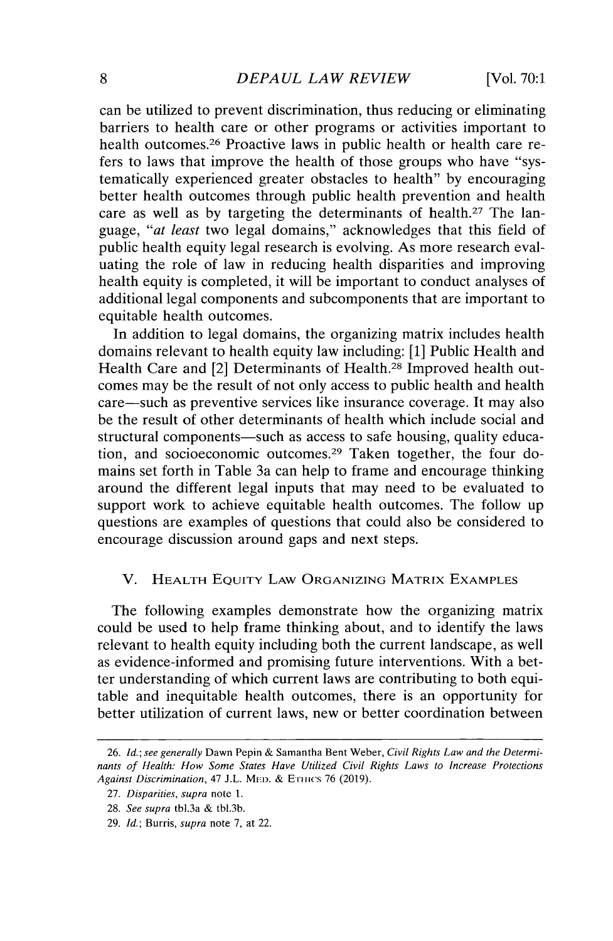can be utilized to prevent discrimination, thus reducing or eliminating barriers to health care or other programs or activities important to health outcomes.<sup>26</sup> Proactive laws in public health or health care refers to laws that improve the health of those groups who have "systematically experienced greater obstacles to health" by encouraging better health outcomes through public health prevention and health care as well as by targeting the determinants of health.<sup>27</sup> The language, *"at least* two legal domains," acknowledges that this field of public health equity legal research is evolving. As more research evaluating the role of law in reducing health disparities and improving health equity is completed, it will be important to conduct analyses of additional legal components and subcomponents that are important to equitable health outcomes.

In addition to legal domains, the organizing matrix includes health domains relevant to health equity law including: [1] Public Health and Health Care and [2] Determinants of Health.<sup>28</sup> Improved health outcomes may be the result of not only access to public health and health care—such as preventive services like insurance coverage. It may also be the result of other determinants of health which include social and structural components—such as access to safe housing, quality education, and socioeconomic outcomes.<sup>29</sup> Taken together, the four domains set forth in Table 3a can help to frame and encourage thinking around the different legal inputs that may need to be evaluated to support work to achieve equitable health outcomes. The follow up questions are examples of questions that could also be considered to encourage discussion around gaps and next steps.

#### V. HEALTH EQUITY LAW ORGANIZING MATRIX EXAMPLES

The following examples demonstrate how the organizing matrix could be used to help frame thinking about, and to identify the laws relevant to health equity including both the current landscape, as well as evidence-informed and promising future interventions. With a better understanding of which current laws are contributing to both equitable and inequitable health outcomes, there is an opportunity for better utilization of current laws, new or better coordination between

*<sup>26.</sup> Id.; see generally* Dawn Pepin & Samantha Bent weber, *Civil Rights Law and the Determinants of Health: How Some States Have Utilized Civil Rights Laws to Increase Protections Against Discrimination, 47* J.L. **Mii.** *&* Ennis 76 (2019).

*<sup>27.</sup> Disparities, supra* note 1.

<sup>28.</sup> *See supra* tbl.3a & tbl.3b.

*<sup>29.</sup> Id.;* Burris, *supra* note 7, at 22.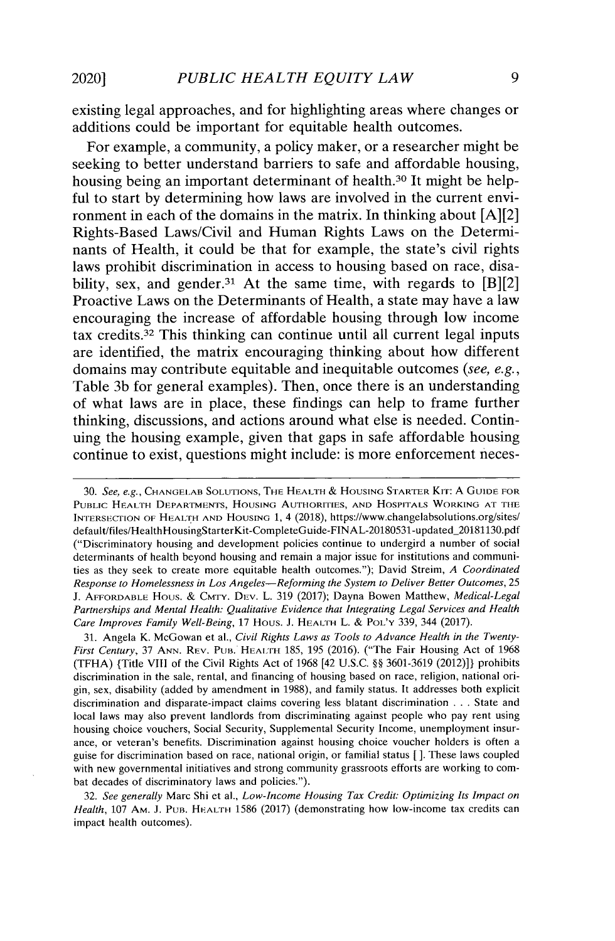**existing legal approaches, and for highlighting areas where changes or additions could be important for equitable health outcomes.**

**For example, a community, a policy maker, or a researcher might be seeking to better understand barriers to safe and affordable housing, housing being an important determinant of health.<sup>30</sup>It might be helpful to start by determining how laws are involved in the current environment in each of the domains in the matrix. In thinking** about [A][2] **Rights-Based Laws/Civil and Human Rights Laws on the Determinants of Health, it could be that for example, the state's civil rights laws prohibit discrimination in access to housing based on race, disa**bility, sex, and gender.<sup>31</sup> At the same time, with regards to  $[B][2]$ **Proactive Laws on the Determinants of Health, a state may have a law encouraging the increase of affordable housing through low income tax credits.<sup>32</sup>**This **thinking can continue until all current legal inputs are identified, the matrix encouraging thinking about how different domains may contribute equitable and inequitable outcomes (see, e.g., Table 3b for general examples). Then, once there is an understanding of what laws are in place, these findings can help to frame further thinking, discussions, and actions around what else is needed. Continuing the housing example, given that gaps in safe affordable housing continue to exist, questions might include: is more enforcement neces-**

**31. Angela K. McGowan et al.,** *Civil Rights Laws as Tools to Advance Health in the Twenty-First Century, 37* **ANN. REv. PUB. HEAI:H 185, 195 (2016). ("The Fair Housing Act of 1968 (TFHA) {Title VIII of the Civil Rights Act of 1968 [42 U.S.C. §§ 3601-3619 (2012)]} prohibits discrimination in the sale, rental, and financing of housing based on race, religion, national origin, sex, disability (added by amendment in 1988), and family status. It addresses both explicit discrimination and disparate-impact claims covering less blatant discrimination** . . . **State and local laws may also prevent landlords from discriminating against people who pay rent using housing choice vouchers, Social Security, Supplemental Security Income, unemployment insurance, or veteran's benefits. Discrimination against housing choice voucher holders is often a guise for discrimination based on race, national origin, or familial status** *[ ].* **These laws coupled with new governmental initiatives and strong community grassroots efforts are working to combat decades of discriminatory laws and policies.").**

**32.** *See generally* **Marc Shi et al.,** *Low-Income Housing Tax Credit: Optimizing Its Impact on Health,* **107 AM. J. PUB. HEALTH 1586 (2017) (demonstrating how low-income tax credits can impact health outcomes).**

**<sup>30.</sup>** *See, e.g.,* **CHANGELAB SOLUTIONS, THE HEALTH** & **HOUSING STARTER KIT: A GUIDE FOR PUBLIC HEALTH DEPARTMENTS, HOUSING AUTHORITIES, AND HOSPITALS WORKING AT THE INTERSECTION OF HEALTH AND HOUSING 1, 4 (2018), https://www.changelabsolutions.org/sites/ default/files/HealthlHousingStarterKit-CompleteGuide-FINAL-20180531-updated\_20181130.pdf ("Discriminatory housing and development policies continue to undergird a number of social determinants of health beyond housing and remain a major issue for institutions and communities as they seek to create more equitable health outcomes."); David Streim,** *A Coordinated Response to Homelessness in Los Angeles-Reforming the System to Deliver Better Outcomes, 25* **J. AFFORDABLE HOUs.** & CMTV. DEv. L. **319 (2017); Dayna Bowen Matthew,** *Medical-Legal Partnerships and Mental Health: Qualitative Evidence that Integrating Legal Services and Health Care Improves Family Well-Being,* **17 HOUS. J. HEALTH L. & POL'Y 339, 344 (2017).**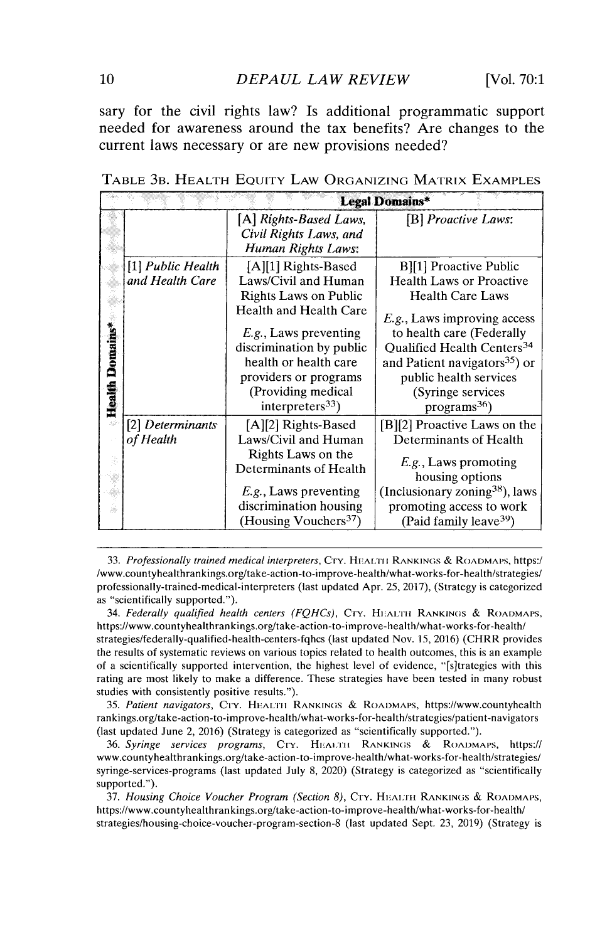sary **for the civil** rights **law? Is additional programmatic support needed for awareness around the tax benefits? Are changes to the current laws necessary or are new provisions needed?**

**Legal Domains\*** *f A] Rights-Based Laws, [B] Proactive Laws: Civil Rights Laws, and Human Rights Laws:* [I] *Public Health* [A][1] Rights-Based B][1] Proactive Public Laws/Civil and Human Health Laws or Proach<br>
Rights Laws on Public Health Care Laws Ä Rights Laws on Public<br>Health and Health Care Ŵ E.g., Laws improving access Health Domains\* *E.g.*, Laws preventing to health care (Federally discrimination by public Qualified Health Centers<sup>3</sup> Oualified Health Centers<sup>34</sup> health or health care  $\parallel$  and Patient navigators<sup>35</sup>) or providers or programs <u>public health services</u> (Providing medical (Syringe services interpreters<sup>33</sup>) cograms<sup>36</sup>)  $interpreters<sup>33</sup>$ ) *[2] Determinants* **[A] [2] Rights-Based** [B][2] Proactive Laws on the *of Health* Laws/Civil **and Human** Determinants of Health **Rights Laws on the** *E.g.,* Laws promoting **Determinants of Health** housing options ¥ (Inclusionary zoning  $38$ ), laws *E.g.,* Laws preventing ili) discrimination housing promoting access to work (Housing Vouchers<sup>37</sup>) (Paid family leave  $39$ )

TABLE 3B. HEALTH EQUITY LAw ORGANIZING MATRIX EXAMPLES

*33. Professionally trained medical interpreters,* CrY. **H.A[:rII RANKINGS** & **ROADMAPS,** https:/ /www.countyhealthrankings.org/take-action-to-improve-health/what-works-for-health/strategies/ professionally-trained-medical-interpreters (last updated Apr. 25, 2017), (Strategy is categorized as "scientifically supported.").

*34. Federally qualified health centers (FQHCs),* CrY. **Hi:ArTH RANKINGS** & **ROADMAPS,** https://www.countyhealthrankings.org/take-action-to-improve-health/what-works-for-health/ strategies/federally-qualified-health-centers-fghcs (last updated Nov. 15, 2016) (CHRR provides the results of systematic reviews on various topics related to health outcomes, this is an example of a scientifically supported intervention, the highest level of evidence, "[s]trategies with this rating are most likely to make a difference. These strategies have been tested in many robust studies with consistently positive results.").

35. *Patient navigators,* Cry. HEALTH **RANKINGS** & **ROADMAPS,** https://www.countyhealth rankings.org/take-action-to-improve-health/what-works-for-health/strategies/patient-navigators (last updated June 2, 2016) (Strategy is categorized as "scientifically supported.").

36. *Syringe services programs,* CrY. **HEAin:i RANKINGS** & **RoADMAPs,** https:// www.countyhealthrankings.org/take-action-to-improve-health/what-works-for-health/strategies/ syringe-services-programs (last updated July 8, 2020) (Strategy is categorized as "scientifically supported.").

*37. Housing Choice Voucher Program (Section 8),* CTY. **HEArH RANKINGS** & **ROADMAPS,** https://www.countyhealthrankings.org/take-action-to-improve-health/what-works-for-heath/ strategies/housing-choice-voucher-program-section-8 (last updated Sept. 23, 2019) (Strategy is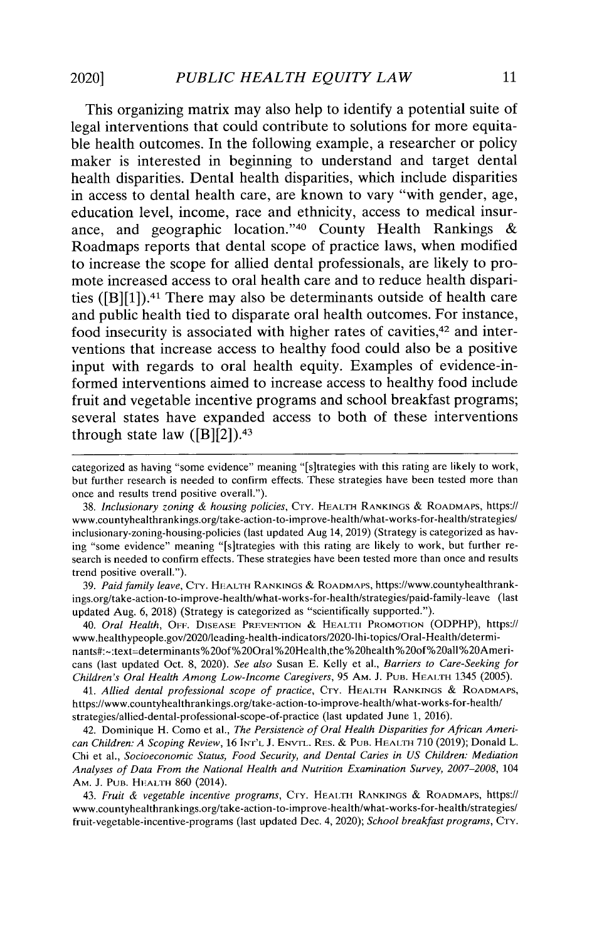This organizing matrix may also help to identify a potential suite of legal interventions that could contribute to solutions for more equitable health outcomes. In the following example, a researcher or policy maker is interested in beginning to understand and target dental health disparities. Dental health disparities, which include disparities in access to dental health care, are known to vary "with gender, age, education level, income, race and ethnicity, access to medical insurance, and geographic location."<sup>40</sup> County Health Rankings  $\&$ Roadmaps reports that dental scope of practice laws, when modified to increase the scope for allied dental professionals, are likely to promote increased access to oral health care and to reduce health disparities ([B][1]). <sup>4</sup> 1 There may also be determinants outside of health care and public health tied to disparate oral health outcomes. For instance, food insecurity is associated with higher rates of cavities,<sup>42</sup> and interventions that increase access to healthy food could also be a positive input with regards to oral health equity. Examples of evidence-informed interventions aimed to increase access to healthy food include fruit and vegetable incentive programs and school breakfast programs; several states have expanded access to both of these interventions through state law  $([B][2])$ .<sup>43</sup>

categorized as having "some evidence" meaning "[s]trategies with this rating are likely to work, but further research is needed to confirm effects. These strategies have been tested more than once and results trend positive overall.").

38. *Inclusionary zoning & housing policies,* CTy. **HEALTH RANKINGS** & **ROADMAPS,** https:// www.countyhealthrankings.org/take-action-to-improve-health/what-works-for-health/strategies/ inclusionary-zoning-housing-policies (last updated Aug 14, 2019) (Strategy is categorized as having "some evidence" meaning "[s]trategies with this rating are likely to work, but further research is needed to confirm effects. These strategies have been tested more than once and results trend positive overall.").

39. *Paid family leave,* CTY. **HEALTH RANKINGS** & **ROADMAPS,** https://www.countyhealthrankings.org/take-action-to-improve-health/what-works-for-health/strategies/paid-family-leave (last updated Aug. 6, 2018) (Strategy is categorized as "scientifically supported.").

*40. Oral Health,* OFF. **DISEASE PREVENTION** & **HEALTH PROMOTION** (ODPHP), https:// www.healthypeople.gov/2020/leading-health-indicators/2020-lhi-topics/Oral-Health/determinants#:~:text=determinants%20of%20Oral%20Health,the%20health%20of%20all%20Americans (last updated Oct. 8, 2020). *See also* Susan E. Kelly et al., *Barriers to Care-Seeking for Children's Oral Health Among Low-Income Caregivers,* 95 **AM.** J. PUn. **HEALTH** 1345 (2005).

*41. Allied dental professional scope of practice,* **CTY. HEALTH RANKINGS** & **ROADMAPS,** https://www.countyhealthrankings.org/take-action-to-improve-health/what-works-for-health/ strategies/allied-dental-professional-scope-of-practice (last updated June 1, 2016).

42. Dominique H. Como et al., *The Persistence of Oral Health Disparities for African American Children: A Scoping Review,* 16 **INT'L** J. **ENVTL. RES.** & **PUB. HEALTH** 710 (2019); Donald L. Chi et al., *Socioeconomic Status, Food Security, and Dental Caries in US Children: Mediation Analyses of Data From the National Health and Nutrition Examination Survey, 2007-2008,* 104 AM. J. PUB. **HEALTH** 860 (2014).

*43. Fruit & vegetable incentive programs,* Cry. **HEAL TH RANKINGS** & **ROADMAPS,** https:// www.countyhealthrankings.org/take-action-to-improve-health/what-works-for-health/strategies/ fruit-vegetable-incentive-programs (last updated Dec. 4, 2020); *School breakfast programs*, CTY.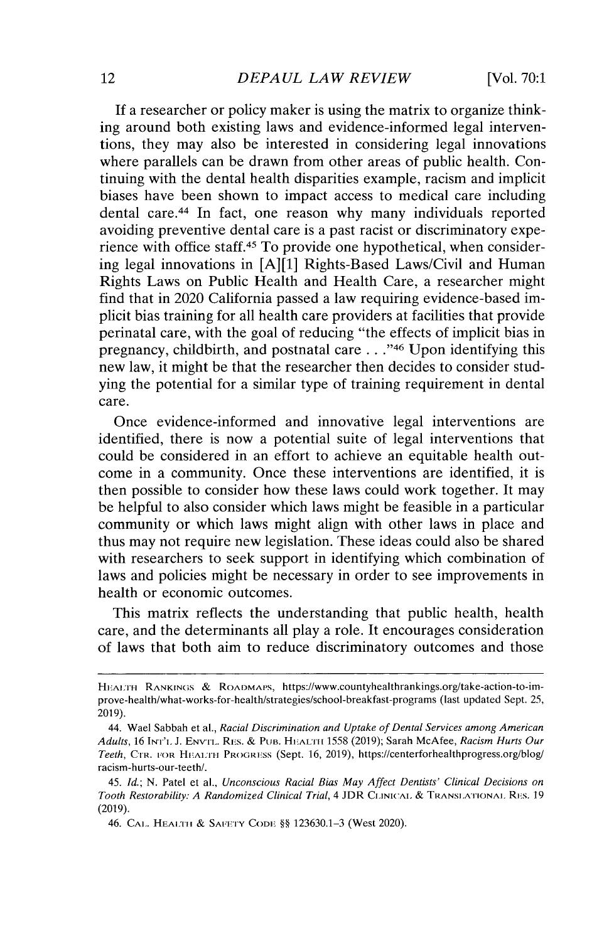If a researcher or policy maker is using the matrix to organize thinking around both existing laws and evidence-informed legal interventions, they may also be interested in considering legal innovations where parallels can be drawn from other **areas** of public health. Continuing with the dental health disparities example, racism and implicit biases have been shown to impact access to medical care including dental care.<sup>44</sup> In fact, one reason why many individuals reported avoiding preventive dental care is a past racist or discriminatory experience with office staff.45 To provide one hypothetical, when considering legal innovations in [A][1] Rights-Based Laws/Civil and Human Rights Laws on Public Health and Health Care, a researcher might find that in 2020 California passed a law requiring evidence-based implicit bias training for all health care providers at facilities that provide perinatal care, with the goal of reducing "the effects of implicit bias in pregnancy, childbirth, and postnatal care . . ."46 Upon identifying this new law, it might be that the researcher then decides to consider studying the potential for a similar type of training requirement in dental care.

Once evidence-informed and innovative legal interventions are identified, there is now a potential suite of legal interventions that could be considered in an effort to achieve an equitable health outcome in a community. Once these interventions are identified, it is then possible to consider how these laws could work together. It may be helpful to also consider which laws might be feasible in a particular community or which laws might align with other laws in place and thus may not require new legislation. These ideas could also be shared with researchers to seek support in identifying which combination of laws and policies might be necessary in order to see improvements in health or economic outcomes.

This matrix reflects the understanding that public health, health care, and the determinants all play a role. It encourages consideration of laws that both aim to reduce discriminatory outcomes and those

**HEALTH RANKINGS** & **RoADMA s,** https://www.countyhealthrankings.org/take-action-to-improve-health/what-works-for-health/strategies/school-breakfast-programs (last updated Sept. 25, 2019).

<sup>44.</sup> Wael Sabbah **et al.,** *Racial Discrimination and Uptake of Dental Services among American Adults,* 16 Ir''t. J. ENvrL. REs. & **PuB. HLUrLII** 1558 (2019); Sarah McAfee, *Racism Hurts Our Teeth,* **CuR. FOR HFATH PROGRESS** (Sept. 16, 2019), https://centerforhealthprogress.org/blog/ **racism-hurts-our-teeth/.**

<sup>45.</sup> *Id.; N.* Patel et al., *Unconscious Racial Bias May Affect Dentists' Clinical Decisions on Tooth Restorability: A Randomized Clinical Trial, 4* JDR **CLINICAL** & **TRANSLATIONAL.** Rvs. 19 (2019).

<sup>46.</sup> **CAL. HEALTHI** & **SAlETY CODE** §§ 123630.1-3 (West 2020).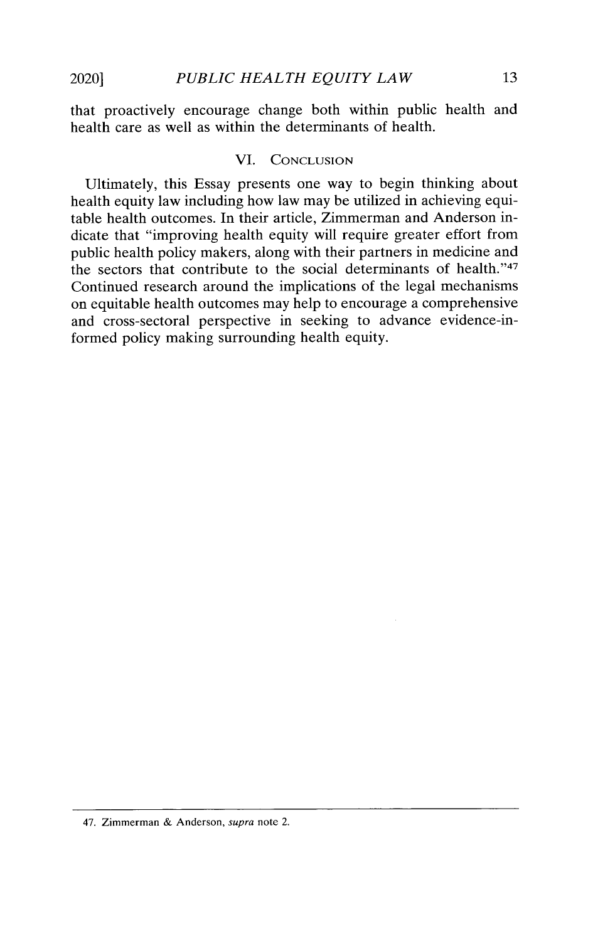**that proactively encourage change both within public health and health care as well as within the determinants of health.**

## VI. CONCLUSION

**Ultimately, this Essay presents one way to begin thinking about health equity law including how law may be utilized in achieving equitable health outcomes. In their article, Zimmerman and Anderson indicate that "improving health equity will require greater effort from public health policy makers, along with their partners in medicine and** the sectors that contribute to the social determinants of health."<sup>47</sup> **Continued research around the implications of the legal mechanisms on equitable health outcomes may help to encourage a comprehensive and cross-sectoral perspective in seeking to advance evidence-informed policy making surrounding health equity.**

<sup>47.</sup> Zimmerman & Anderson, supra note 2.